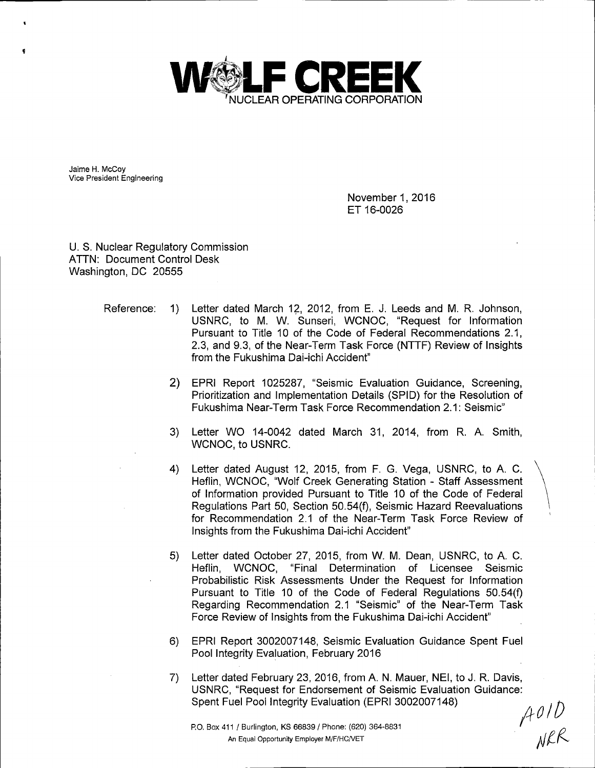

Jaime H. McCoy Vice President Engineering

> November 1, 2016 ET 16-0026

U. S. Nuclear Regulatory Commission ATTN: Document Control Desk Washington, DC 20555

- Reference: 1) Letter dated March 12, 2012, from E. J. Leeds and M. R. Johnson, USNRC, to M. W. Sunseri, WCNOC, "Request for Information Pursuant to Title 10 of the Code of Federal Recommendations 2.1, 2.3, and 9.3, of the Near-Term Task Force (NTTF) Review of Insights from the Fukushima Dai-ichi Accident"
	- 2) EPRI Report 1025287, "Seismic Evaluation Guidance, Screening, Prioritization and Implementation Details (SPID) for the Resolution of Fukushima Near-Term Task Force Recommendation 2.1: Seismic"
	- 3) Letter WO 14-0042 dated March 31, 2014, from R. A. Smith, WCNOC, to USNRC.
	- 4) Letter dated August 12, 2015, from F. G. Vega, USNRC, to A. C. Heflin, WCNOC, "Wolf Creek Generating Station - Staff Assessment of Information provided Pursuant to Title 10 of the Code of Federal Regulations Part 50, Section 50.54(f), Seismic Hazard Reevaluations for Recommendation 2.1 of the Near-Term Task Force Review of Insights from the Fukushima Dai-ichi Accident"
	- 5) Letter dated October 27, 2015, from W. M. Dean, USNRC, to A. C. Heflin, WCNOC, "Final Determination of Licensee Seismic Probabilistic Risk Assessments Under the Request for Information Pursuant to Title 10 of the Code of Federal Regulations 50.54(f) Regarding Recommendation 2.1 "Seismic" of the Near-Term Task Force Review of Insights from the Fukushima Dai-ichi Accident"
	- 6) EPRI Report 3002007148, Seismic Evaluation Guidance Spent Fuel Pool Integrity Evaluation, February 2016
	- 7) Letter dated February 23, 2016, from A. N. Mauer, NEI, to J. R. Davis, USNRC, "Request for Endorsement of Seismic Evaluation Guidance: Spent Fuel Pool Integrity Evaluation (EPRI 3002007148)  $A01D$

 $\mathcal{N}\mathcal{L}\mathcal{K}$ 

P.O. Box 411 / Burlington, KS 66839 / Phone: (620) 364-8831 An Equal Opportunity Employer M/F/HCNET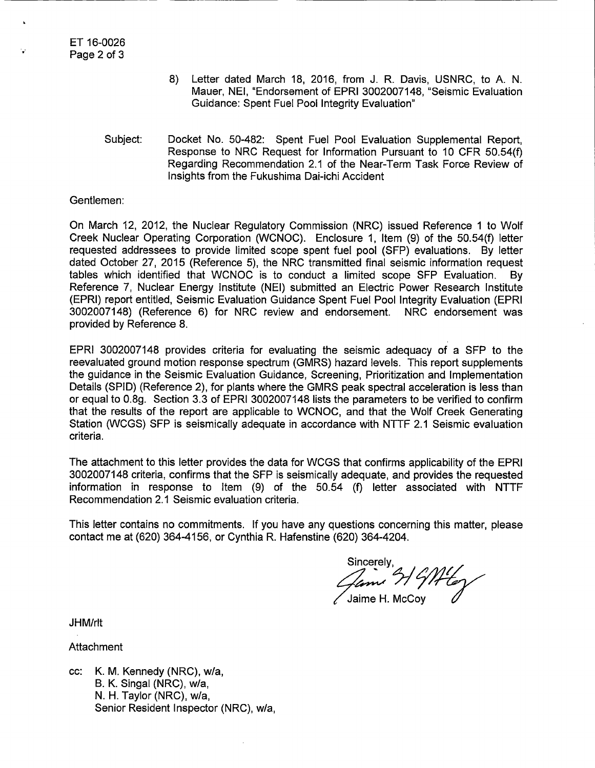- 8) Letter dated March 18, 2016, from J. R. Davis, USNRC, to A. N. Mauer, NEI, "Endorsement of EPRI 3002007148, "Seismic Evaluation Guidance: Spent Fuel Pool Integrity Evaluation"
- Subject: Docket No. 50-482: Spent Fuel Pool Evaluation Supplemental Report, Response to NRC Request for Information Pursuant to 10 CFR 50.54(f) Regarding Recommendation 2.1 of the Near-Term Task Force Review of Insights from the Fukushima Dai-ichi Accident

Gentlemen:

On March 12, 2012, the Nuclear Regulatory Commission (NRC) issued Reference 1 to Wolf Creek Nuclear Operating Corporation (WCNOC). Enclosure 1, Item (9) of the 50.54(f) letter requested addressees to provide limited scope spent fuel pool (SFP) evaluations. By letter dated October 27, 2015 (Reference 5), the NRC transmitted final seismic information request tables which identified that WCNOC is to conduct a limited scope SFP Evaluation. By Reference 7, Nuclear Energy Institute (NEI) submitted an Electric Power Research Institute (EPRI) report entitled, Seismic Evaluation Guidance Spent Fuel Pool Integrity Evaluation (EPRI 3002007148) (Reference 6) for NRC review and endorsement. NRC endorsement was provided by Reference 8.

EPRI 3002007148 provides criteria for evaluating the seismic adequacy of a SFP to the reevaluated ground motion response spectrum (GMRS) hazard levels. This report supplements the guidance in the Seismic Evaluation Guidance, Screening, Prioritization and Implementation Details (SPID) (Reference 2), for plants where the GMRS peak spectral acceleration is less than or equal to 0.8g. Section 3.3 of EPRI 3002007148 lists the parameters to be verified to confirm that the results of the report are applicable to WCNOC, and that the Wolf Creek Generating Station (WCGS) SFP is seismically adequate in accordance with NTTF 2.1 Seismic evaluation criteria.

The attachment to this letter provides the data for WCGS that confirms applicability of the EPRI 3002007148 criteria, confirms that the SFP is seismically adequate, and provides the requested information in response to Item (9) of the 50.54 (f) letter associated with NTTF Recommendation 2.1 Seismic evaluation criteria.

This letter contains no commitments. If you have any questions concerning this matter, please contact me at (620) 364-4156, or Cynthia R. Hafenstine (620) 364-4204.

Sincerely,  $\frac{1}{\sqrt{2\pi}}$  of  $\frac{1}{\sqrt{2\pi}}$ 

JHM/rlt

Attachment

cc: K. M. Kennedy (NRC), w/a, B. K. Singal (NRC), w/a, N. H. Taylor (NRC), w/a, Senior Resident Inspector (NRC), w/a,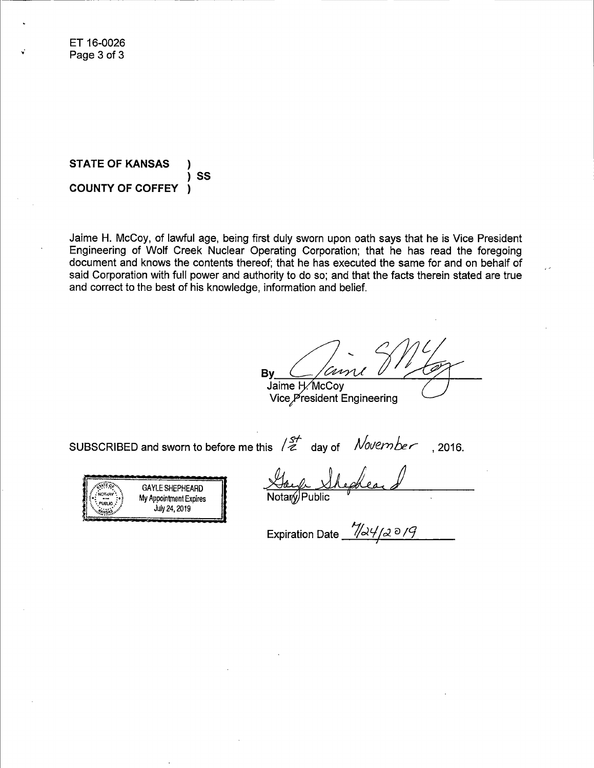**STATE OF KANSAS**  SS **COUNTY OF COFFEY**   $\lambda$ 

Jaime H. McCoy, of lawful age, being first duly sworn upon oath says that he is Vice President Engineering of Wolf Creek Nuclear Operating Corporation; that he has read the foregoing document and knows the contents thereof; that he has executed the same for and on behalf of said Corporation with full power and authority to do so; and that the facts therein stated are true and correct to the best of his knowledge, information and belief.

 $By_2\leq/conv$  do  $1/6\gamma$ Jaime H. McCov

Vice President Engineering

SUBSCRIBED and sworn to before me this  $12^+$  day of *November*, 2016.



Notary/Public

Expiration Date  $-\frac{\sqrt{24}}{2}$   $\frac{\partial \mathcal{L}}{\partial \mathcal{L}}$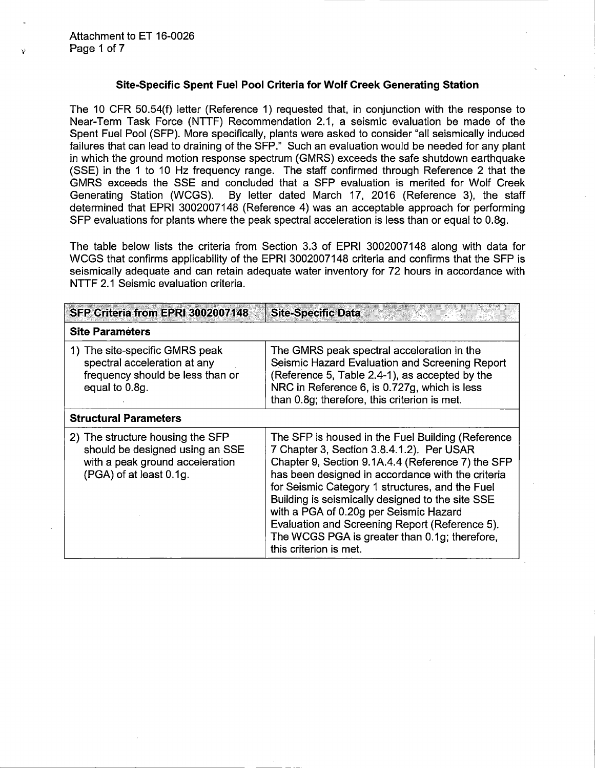## Site-Specific Spent Fuel Pool Criteria for Wolf Creek Generating Station

The 10 CFR 50.54(f) letter (Reference 1) requested that, in conjunction with the response to Near-Term Task Force (NTTF) Recommendation 2.1, a seismic evaluation be made of the Spent Fuel Pool (SFP). More specifically, plants were asked to consider "all seismically induced failures that can lead to draining of the SFP." Such an evaluation would be needed for any plant in which the ground motion response spectrum (GMRS) exceeds the safe shutdown earthquake (SSE) in the 1 to 10 Hz frequency range. The staff confirmed through Reference 2 that the GMRS exceeds the SSE and concluded that a SFP evaluation is merited for Wolf Creek<br>Generating Station (WCGS). By letter dated March 17, 2016 (Reference 3), the staff By letter dated March 17, 2016 (Reference 3), the staff determined that EPRI 3002007148 (Reference 4) was an acceptable approach for performing SFP evaluations for plants where the peak spectral acceleration is less than or equal to 0.8g.

The table below lists the criteria from Section 3.3 of EPRI 3002007148 along with data for WCGS that confirms applicability of the EPRI 3002007148 criteria and confirms that the SFP is seismically adequate and can retain adequate water inventory for 72 hours in accordance with NTTF 2.1 Seismic evaluation criteria.

| SFP Criteria from EPRI 3002007148                                                                                                 | <b>Site-Specific Data</b>                                                                                                                                                                                                                                                                                                                                                                                                                                                              |  |  |
|-----------------------------------------------------------------------------------------------------------------------------------|----------------------------------------------------------------------------------------------------------------------------------------------------------------------------------------------------------------------------------------------------------------------------------------------------------------------------------------------------------------------------------------------------------------------------------------------------------------------------------------|--|--|
| <b>Site Parameters</b>                                                                                                            |                                                                                                                                                                                                                                                                                                                                                                                                                                                                                        |  |  |
| 1) The site-specific GMRS peak<br>spectral acceleration at any<br>frequency should be less than or<br>equal to 0.8g.              | The GMRS peak spectral acceleration in the<br>Seismic Hazard Evaluation and Screening Report<br>(Reference 5, Table 2.4-1), as accepted by the<br>NRC in Reference 6, is 0.727g, which is less<br>than 0.8g; therefore, this criterion is met.                                                                                                                                                                                                                                         |  |  |
| <b>Structural Parameters</b>                                                                                                      |                                                                                                                                                                                                                                                                                                                                                                                                                                                                                        |  |  |
| 2) The structure housing the SFP<br>should be designed using an SSE<br>with a peak ground acceleration<br>(PGA) of at least 0.1g. | The SFP is housed in the Fuel Building (Reference<br>7 Chapter 3, Section 3.8.4.1.2). Per USAR<br>Chapter 9, Section 9.1A.4.4 (Reference 7) the SFP<br>has been designed in accordance with the criteria<br>for Seismic Category 1 structures, and the Fuel<br>Building is seismically designed to the site SSE<br>with a PGA of 0.20g per Seismic Hazard<br>Evaluation and Screening Report (Reference 5).<br>The WCGS PGA is greater than 0.1g; therefore,<br>this criterion is met. |  |  |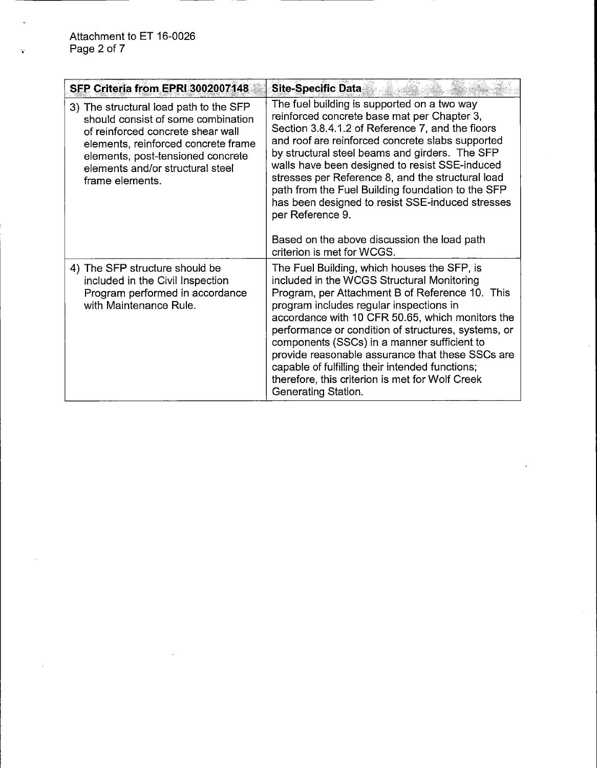| SFP Criteria from EPRI 3002007148                                                                                                                                                                                                                    | <b>Site-Specific Data</b>                                                                                                                                                                                                                                                                                                                                                                                                                                                                                                                                             |
|------------------------------------------------------------------------------------------------------------------------------------------------------------------------------------------------------------------------------------------------------|-----------------------------------------------------------------------------------------------------------------------------------------------------------------------------------------------------------------------------------------------------------------------------------------------------------------------------------------------------------------------------------------------------------------------------------------------------------------------------------------------------------------------------------------------------------------------|
| 3) The structural load path to the SFP<br>should consist of some combination<br>of reinforced concrete shear wall<br>elements, reinforced concrete frame<br>elements, post-tensioned concrete<br>elements and/or structural steel<br>frame elements. | The fuel building is supported on a two way<br>reinforced concrete base mat per Chapter 3,<br>Section 3.8.4.1.2 of Reference 7, and the floors<br>and roof are reinforced concrete slabs supported<br>by structural steel beams and girders. The SFP<br>walls have been designed to resist SSE-induced<br>stresses per Reference 8, and the structural load<br>path from the Fuel Building foundation to the SFP<br>has been designed to resist SSE-induced stresses<br>per Reference 9.<br>Based on the above discussion the load path<br>criterion is met for WCGS. |
| 4) The SFP structure should be<br>included in the Civil Inspection<br>Program performed in accordance<br>with Maintenance Rule.                                                                                                                      | The Fuel Building, which houses the SFP, is<br>included in the WCGS Structural Monitoring<br>Program, per Attachment B of Reference 10. This<br>program includes regular inspections in<br>accordance with 10 CFR 50.65, which monitors the<br>performance or condition of structures, systems, or<br>components (SSCs) in a manner sufficient to<br>provide reasonable assurance that these SSCs are<br>capable of fulfilling their intended functions;<br>therefore, this criterion is met for Wolf Creek<br>Generating Station.                                    |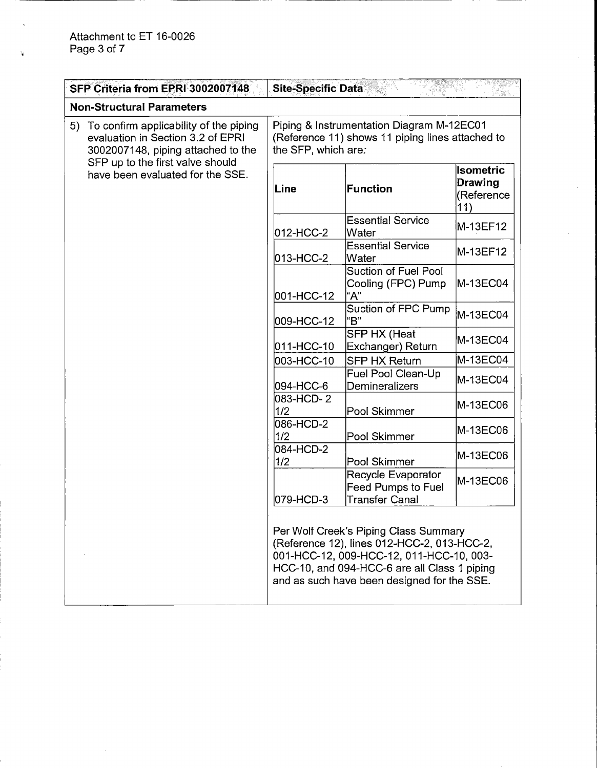$\mathbf{t}$ 

|                                                                                                                                                                                                 | SFP Criteria from EPRI 3002007148                                                                                    | <b>Site-Specific Data</b>                                                                                                                                                                                                       |                                                  |          |
|-------------------------------------------------------------------------------------------------------------------------------------------------------------------------------------------------|----------------------------------------------------------------------------------------------------------------------|---------------------------------------------------------------------------------------------------------------------------------------------------------------------------------------------------------------------------------|--------------------------------------------------|----------|
| <b>Non-Structural Parameters</b>                                                                                                                                                                |                                                                                                                      |                                                                                                                                                                                                                                 |                                                  |          |
| To confirm applicability of the piping<br>5)<br>evaluation in Section 3.2 of EPRI<br>3002007148, piping attached to the<br>SFP up to the first valve should<br>have been evaluated for the SSE. | Piping & Instrumentation Diagram M-12EC01<br>(Reference 11) shows 11 piping lines attached to<br>the SFP, which are: |                                                                                                                                                                                                                                 |                                                  |          |
|                                                                                                                                                                                                 | Line                                                                                                                 | Function                                                                                                                                                                                                                        | <b>Isometric</b><br>Drawing<br>(Reference<br>11) |          |
|                                                                                                                                                                                                 |                                                                                                                      | 012-HCC-2                                                                                                                                                                                                                       | <b>Essential Service</b><br>Water                | M-13EF12 |
|                                                                                                                                                                                                 |                                                                                                                      | 013-HCC-2                                                                                                                                                                                                                       | <b>Essential Service</b><br>Water                | M-13EF12 |
|                                                                                                                                                                                                 | 001-HCC-12                                                                                                           | Suction of Fuel Pool<br>Cooling (FPC) Pump<br>"А"                                                                                                                                                                               | M-13EC04                                         |          |
|                                                                                                                                                                                                 | 009-HCC-12                                                                                                           | Suction of FPC Pump<br>"В"                                                                                                                                                                                                      | M-13EC04                                         |          |
|                                                                                                                                                                                                 | 011-HCC-10                                                                                                           | <b>SFP HX (Heat</b><br>Exchanger) Return                                                                                                                                                                                        | M-13EC04                                         |          |
|                                                                                                                                                                                                 |                                                                                                                      | 003-HCC-10                                                                                                                                                                                                                      | <b>SFP HX Return</b>                             | M-13EC04 |
|                                                                                                                                                                                                 |                                                                                                                      | 094-HCC-6                                                                                                                                                                                                                       | Fuel Pool Clean-Up<br>Demineralizers             | M-13EC04 |
|                                                                                                                                                                                                 |                                                                                                                      | 083-HCD-2<br>1/2                                                                                                                                                                                                                | Pool Skimmer                                     | M-13EC06 |
|                                                                                                                                                                                                 |                                                                                                                      | 086-HCD-2<br>1/2                                                                                                                                                                                                                | Pool Skimmer                                     | M-13EC06 |
|                                                                                                                                                                                                 | 084-HCD-2<br>1/2                                                                                                     | Pool Skimmer                                                                                                                                                                                                                    | M-13EC06                                         |          |
|                                                                                                                                                                                                 | 079-HCD-3                                                                                                            | Recycle Evaporator<br><b>Feed Pumps to Fuel</b><br><b>Transfer Canal</b>                                                                                                                                                        | M-13EC06                                         |          |
|                                                                                                                                                                                                 |                                                                                                                      | Per Wolf Creek's Piping Class Summary<br>(Reference 12), lines 012-HCC-2, 013-HCC-2,<br>001-HCC-12, 009-HCC-12, 011-HCC-10, 003-<br>HCC-10, and 094-HCC-6 are all Class 1 piping<br>and as such have been designed for the SSE. |                                                  |          |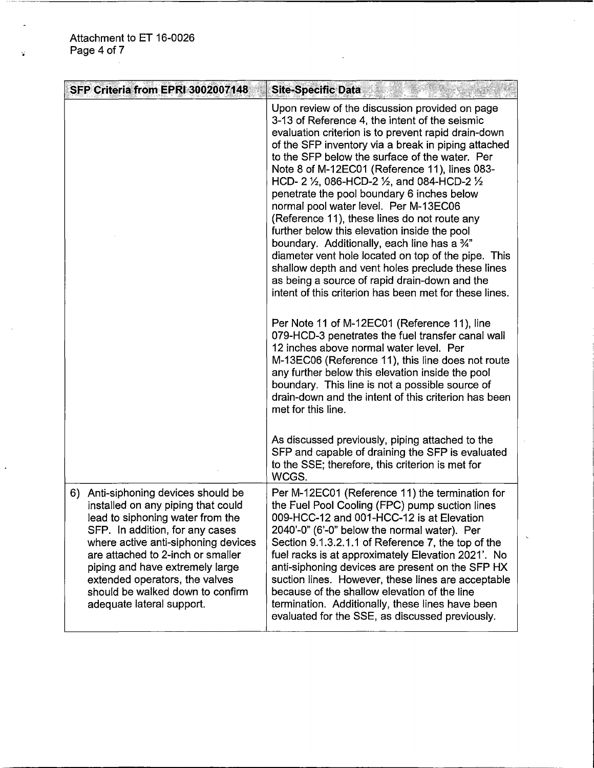| SFP Criteria from EPRI 3002007148                                                                                                                                                                                                                                                                                                                                  | <b>Site-Specific Data</b>                                                                                                                                                                                                                                                                                                                                                                                                                                                                                                                                                                                                                                                                                                                                                                                                                                                                                       |
|--------------------------------------------------------------------------------------------------------------------------------------------------------------------------------------------------------------------------------------------------------------------------------------------------------------------------------------------------------------------|-----------------------------------------------------------------------------------------------------------------------------------------------------------------------------------------------------------------------------------------------------------------------------------------------------------------------------------------------------------------------------------------------------------------------------------------------------------------------------------------------------------------------------------------------------------------------------------------------------------------------------------------------------------------------------------------------------------------------------------------------------------------------------------------------------------------------------------------------------------------------------------------------------------------|
|                                                                                                                                                                                                                                                                                                                                                                    | Upon review of the discussion provided on page<br>3-13 of Reference 4, the intent of the seismic<br>evaluation criterion is to prevent rapid drain-down<br>of the SFP inventory via a break in piping attached<br>to the SFP below the surface of the water. Per<br>Note 8 of M-12EC01 (Reference 11), lines 083-<br>HCD- 2 $\frac{1}{2}$ , 086-HCD-2 $\frac{1}{2}$ , and 084-HCD-2 $\frac{1}{2}$<br>penetrate the pool boundary 6 inches below<br>normal pool water level. Per M-13EC06<br>(Reference 11), these lines do not route any<br>further below this elevation inside the pool<br>boundary. Additionally, each line has a 3/4"<br>diameter vent hole located on top of the pipe. This<br>shallow depth and vent holes preclude these lines<br>as being a source of rapid drain-down and the<br>intent of this criterion has been met for these lines.<br>Per Note 11 of M-12EC01 (Reference 11), line |
|                                                                                                                                                                                                                                                                                                                                                                    | 079-HCD-3 penetrates the fuel transfer canal wall<br>12 inches above normal water level. Per<br>M-13EC06 (Reference 11), this line does not route<br>any further below this elevation inside the pool<br>boundary. This line is not a possible source of<br>drain-down and the intent of this criterion has been<br>met for this line.                                                                                                                                                                                                                                                                                                                                                                                                                                                                                                                                                                          |
|                                                                                                                                                                                                                                                                                                                                                                    | As discussed previously, piping attached to the<br>SFP and capable of draining the SFP is evaluated<br>to the SSE; therefore, this criterion is met for<br>WCGS.                                                                                                                                                                                                                                                                                                                                                                                                                                                                                                                                                                                                                                                                                                                                                |
| 6) Anti-siphoning devices should be<br>installed on any piping that could<br>lead to siphoning water from the<br>SFP. In addition, for any cases<br>where active anti-siphoning devices<br>are attached to 2-inch or smaller<br>piping and have extremely large<br>extended operators, the valves<br>should be walked down to confirm<br>adequate lateral support. | Per M-12EC01 (Reference 11) the termination for<br>the Fuel Pool Cooling (FPC) pump suction lines<br>009-HCC-12 and 001-HCC-12 is at Elevation<br>2040'-0" (6'-0" below the normal water). Per<br>Section 9.1.3.2.1.1 of Reference 7, the top of the<br>fuel racks is at approximately Elevation 2021'. No<br>anti-siphoning devices are present on the SFP HX<br>suction lines. However, these lines are acceptable<br>because of the shallow elevation of the line<br>termination. Additionally, these lines have been<br>evaluated for the SSE, as discussed previously.                                                                                                                                                                                                                                                                                                                                     |

 $\overline{a}$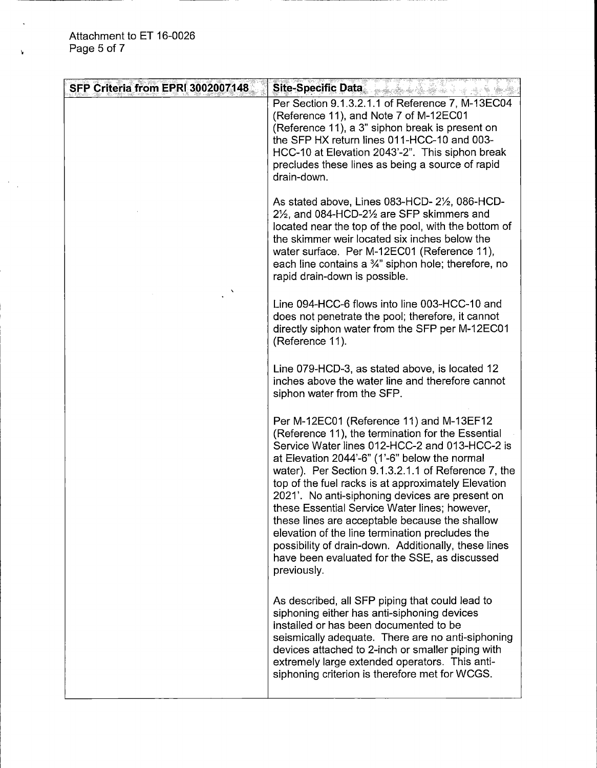| SFP Criteria from EPRI 3002007148 | Site-Specific Data <b>Contract of the Specific Data</b>                                                                                                                                                                                                                                                                                                                                                                                                                                                                                                                                                                                         |
|-----------------------------------|-------------------------------------------------------------------------------------------------------------------------------------------------------------------------------------------------------------------------------------------------------------------------------------------------------------------------------------------------------------------------------------------------------------------------------------------------------------------------------------------------------------------------------------------------------------------------------------------------------------------------------------------------|
|                                   | Per Section 9.1.3.2.1.1 of Reference 7, M-13EC04<br>(Reference 11), and Note 7 of M-12EC01<br>(Reference 11), a 3" siphon break is present on<br>the SFP HX return lines 011-HCC-10 and 003-<br>HCC-10 at Elevation 2043'-2". This siphon break<br>precludes these lines as being a source of rapid<br>drain-down.                                                                                                                                                                                                                                                                                                                              |
|                                   | As stated above, Lines 083-HCD-2½, 086-HCD-<br>21/ <sub>2</sub> , and 084-HCD-21/ <sub>2</sub> are SFP skimmers and<br>located near the top of the pool, with the bottom of<br>the skimmer weir located six inches below the<br>water surface. Per M-12EC01 (Reference 11),<br>each line contains a $\frac{3}{4}$ " siphon hole; therefore, no<br>rapid drain-down is possible.                                                                                                                                                                                                                                                                 |
|                                   | Line 094-HCC-6 flows into line 003-HCC-10 and<br>does not penetrate the pool; therefore, it cannot<br>directly siphon water from the SFP per M-12EC01<br>(Reference 11).                                                                                                                                                                                                                                                                                                                                                                                                                                                                        |
|                                   | Line 079-HCD-3, as stated above, is located 12<br>inches above the water line and therefore cannot<br>siphon water from the SFP.                                                                                                                                                                                                                                                                                                                                                                                                                                                                                                                |
|                                   | Per M-12EC01 (Reference 11) and M-13EF12<br>(Reference 11), the termination for the Essential<br>Service Water lines 012-HCC-2 and 013-HCC-2 is<br>at Elevation 2044'-6" (1'-6" below the normal<br>water). Per Section 9.1.3.2.1.1 of Reference 7, the<br>top of the fuel racks is at approximately Elevation<br>2021'. No anti-siphoning devices are present on<br>these Essential Service Water lines; however,<br>these lines are acceptable because the shallow<br>elevation of the line termination precludes the<br>possibility of drain-down. Additionally, these lines<br>have been evaluated for the SSE, as discussed<br>previously. |
|                                   | As described, all SFP piping that could lead to<br>siphoning either has anti-siphoning devices<br>installed or has been documented to be<br>seismically adequate. There are no anti-siphoning<br>devices attached to 2-inch or smaller piping with<br>extremely large extended operators. This anti-<br>siphoning criterion is therefore met for WCGS.                                                                                                                                                                                                                                                                                          |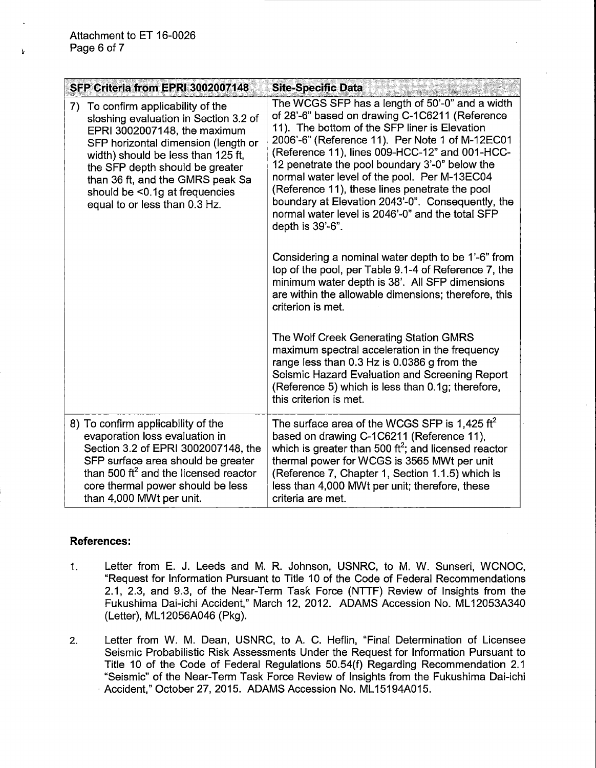$\mathbf{k}$ 

| SFP Criteria from EPRI 3002007148                                                                                                                                                                                                                                                                                                  | <b>Site-Specific Data</b>                                                                                                                                                                                                                                                                                                                                                                                                                                                                                                                |
|------------------------------------------------------------------------------------------------------------------------------------------------------------------------------------------------------------------------------------------------------------------------------------------------------------------------------------|------------------------------------------------------------------------------------------------------------------------------------------------------------------------------------------------------------------------------------------------------------------------------------------------------------------------------------------------------------------------------------------------------------------------------------------------------------------------------------------------------------------------------------------|
| 7) To confirm applicability of the<br>sloshing evaluation in Section 3.2 of<br>EPRI 3002007148, the maximum<br>SFP horizontal dimension (length or<br>width) should be less than 125 ft,<br>the SFP depth should be greater<br>than 36 ft, and the GMRS peak Sa<br>should be <0.1g at frequencies<br>equal to or less than 0.3 Hz. | The WCGS SFP has a length of 50'-0" and a width<br>of 28'-6" based on drawing C-1C6211 (Reference<br>11). The bottom of the SFP liner is Elevation<br>2006'-6" (Reference 11). Per Note 1 of M-12EC01<br>(Reference 11), lines 009-HCC-12" and 001-HCC-<br>12 penetrate the pool boundary 3'-0" below the<br>normal water level of the pool. Per M-13EC04<br>(Reference 11), these lines penetrate the pool<br>boundary at Elevation 2043'-0". Consequently, the<br>normal water level is 2046'-0" and the total SFP<br>depth is 39'-6". |
|                                                                                                                                                                                                                                                                                                                                    | Considering a nominal water depth to be 1'-6" from<br>top of the pool, per Table 9.1-4 of Reference 7, the<br>minimum water depth is 38'. All SFP dimensions<br>are within the allowable dimensions; therefore, this<br>criterion is met.                                                                                                                                                                                                                                                                                                |
|                                                                                                                                                                                                                                                                                                                                    | The Wolf Creek Generating Station GMRS<br>maximum spectral acceleration in the frequency<br>range less than 0.3 Hz is 0.0386 g from the<br>Seismic Hazard Evaluation and Screening Report<br>(Reference 5) which is less than 0.1g; therefore,<br>this criterion is met.                                                                                                                                                                                                                                                                 |
| 8) To confirm applicability of the<br>evaporation loss evaluation in<br>Section 3.2 of EPRI 3002007148, the<br>SFP surface area should be greater<br>than 500 $\text{ft}^2$ and the licensed reactor<br>core thermal power should be less<br>than 4,000 MWt per unit.                                                              | The surface area of the WCGS SFP is 1,425 $\text{ft}^2$<br>based on drawing C-1C6211 (Reference 11),<br>which is greater than 500 ft <sup>2</sup> ; and licensed reactor<br>thermal power for WCGS is 3565 MWt per unit<br>(Reference 7, Chapter 1, Section 1.1.5) which is<br>less than 4,000 MWt per unit; therefore, these<br>criteria are met.                                                                                                                                                                                       |

## **References:**

- 1. Letter from E. J. Leeds and M. R. Johnson, USNRC, to M. W. Sunseri, WCNOC, "Request for Information Pursuant to Title 10 of the Code of Federal Recommendations 2.1, 2.3, and 9.3, of the Near-Term Task Force (NTTF) Review of Insights from the Fukushima Dai-ichi Accident," March 12, 2012. ADAMS Accession No. ML12053A340 (Letter), ML 12056A046 (Pkg).
- 2. Letter from W. M. Dean, USNRC, to A. C. Heflin, "Final Determination of Licensee Seismic Probabilistic Risk Assessments Under the Request for Information Pursuant to Title 10 of the Code of Federal Regulations 50.54(f) Regarding Recommendation 2.1 "Seismic" of the Near-Term Task Force Review of Insights from the Fukushima Dai-ichi Accident," October 27, 2015. ADAMS Accession No. ML15194A015.